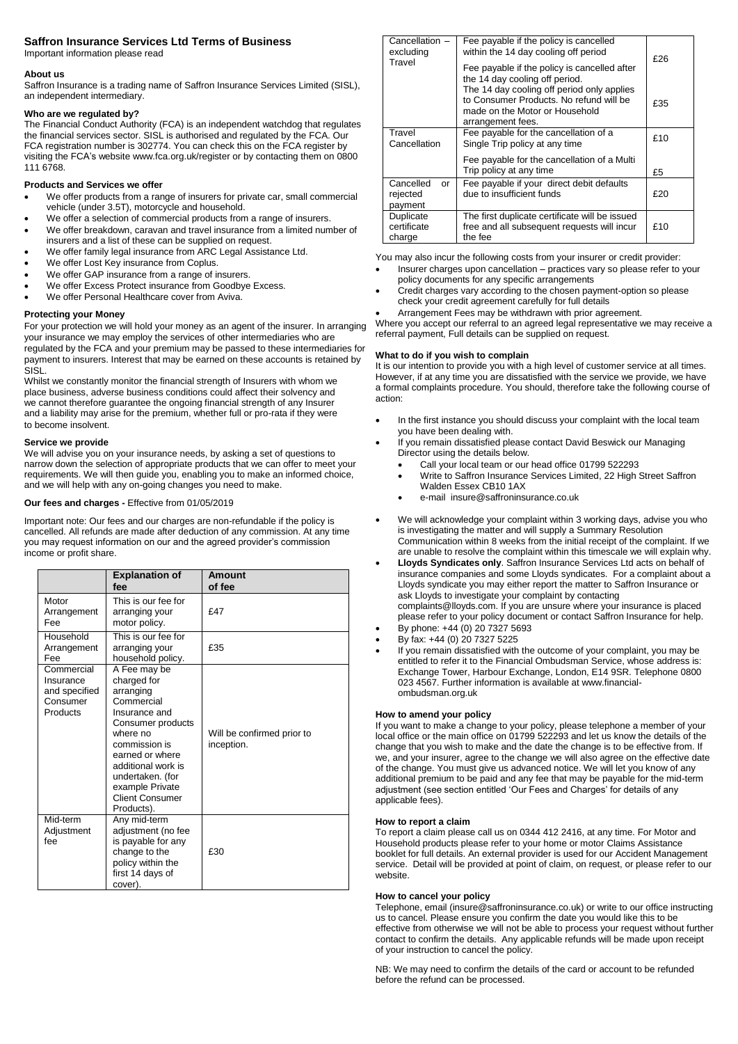# **Saffron Insurance Services Ltd Terms of Business**

Important information please read

## **About us**

Saffron Insurance is a trading name of Saffron Insurance Services Limited (SISL), an independent intermediary.

## **Who are we regulated by?**

The Financial Conduct Authority (FCA) is an independent watchdog that regulates the financial services sector. SISL is authorised and regulated by the FCA. Our FCA registration number is 302774. You can check this on the FCA register by visiting the FCA's website www.fca.org.uk/register or by contacting them on 0800 111 6768.

# **Products and Services we offer**

- We offer products from a range of insurers for private car, small commercial vehicle (under 3.5T), motorcycle and household.
- We offer a selection of commercial products from a range of insurers.
- We offer breakdown, caravan and travel insurance from a limited number of insurers and a list of these can be supplied on request.
- We offer family legal insurance from ARC Legal Assistance Ltd.
- We offer Lost Key insurance from Coplus.
- We offer GAP insurance from a range of insurers.
- We offer Excess Protect insurance from Goodbye Excess.
- We offer Personal Healthcare cover from Aviva.

## **Protecting your Money**

For your protection we will hold your money as an agent of the insurer. In arranging your insurance we may employ the services of other intermediaries who are regulated by the FCA and your premium may be passed to these intermediaries for payment to insurers. Interest that may be earned on these accounts is retained by SISL.

Whilst we constantly monitor the financial strength of Insurers with whom we place business, adverse business conditions could affect their solvency and we cannot therefore guarantee the ongoing financial strength of any Insurer and a liability may arise for the premium, whether full or pro-rata if they were to become insolvent.

## **Service we provide**

We will advise you on your insurance needs, by asking a set of questions to narrow down the selection of appropriate products that we can offer to meet your requirements. We will then guide you, enabling you to make an informed choice, and we will help with any on-going changes you need to make.

## **Our fees and charges -** Effective from 01/05/2019

Important note: Our fees and our charges are non-refundable if the policy is cancelled. All refunds are made after deduction of any commission. At any time you may request information on our and the agreed provider's commission income or profit share.

|                                                                  | <b>Explanation of</b><br>fee                                                                                                                                                                                                                      | Amount<br>of fee                         |
|------------------------------------------------------------------|---------------------------------------------------------------------------------------------------------------------------------------------------------------------------------------------------------------------------------------------------|------------------------------------------|
| Motor<br>Arrangement<br>Fee                                      | This is our fee for<br>arranging your<br>motor policy.                                                                                                                                                                                            | f47                                      |
| Household<br>Arrangement<br>Fee                                  | This is our fee for<br>arranging your<br>household policy.                                                                                                                                                                                        | £35                                      |
| Commercial<br>Insurance<br>and specified<br>Consumer<br>Products | A Fee may be<br>charged for<br>arranging<br>Commercial<br>Insurance and<br>Consumer products<br>where no<br>commission is<br>earned or where<br>additional work is<br>undertaken. (for<br>example Private<br><b>Client Consumer</b><br>Products). | Will be confirmed prior to<br>inception. |
| Mid-term<br>Adjustment<br>fee                                    | Any mid-term<br>adjustment (no fee<br>is payable for any<br>change to the<br>policy within the<br>first 14 days of<br>cover).                                                                                                                     | £30                                      |

| Cancellation -<br>excluding<br>Travel                                                             | Fee payable if the policy is cancelled<br>within the 14 day cooling off period                                                               | £26 |
|---------------------------------------------------------------------------------------------------|----------------------------------------------------------------------------------------------------------------------------------------------|-----|
|                                                                                                   | Fee payable if the policy is cancelled after<br>the 14 day cooling off period.                                                               |     |
|                                                                                                   | The 14 day cooling off period only applies<br>to Consumer Products. No refund will be<br>made on the Motor or Household<br>arrangement fees. | £35 |
| Travel<br>Fee payable for the cancellation of a<br>Cancellation<br>Single Trip policy at any time |                                                                                                                                              | £10 |
|                                                                                                   | Fee payable for the cancellation of a Multi<br>Trip policy at any time                                                                       | £5  |
| Cancelled<br>or<br>rejected<br>payment                                                            | Fee payable if your direct debit defaults<br>due to insufficient funds                                                                       | £20 |
| Duplicate<br>certificate<br>charge                                                                | The first duplicate certificate will be issued<br>free and all subsequent requests will incur<br>the fee                                     | £10 |

You may also incur the following costs from your insurer or credit provider:

- Insurer charges upon cancellation practices vary so please refer to your policy documents for any specific arrangements
- Credit charges vary according to the chosen payment-option so please check your credit agreement carefully for full details
- Arrangement Fees may be withdrawn with prior agreement.

Where you accept our referral to an agreed legal representative we may receive a referral payment, Full details can be supplied on request.

### **What to do if you wish to complain**

It is our intention to provide you with a high level of customer service at all times. However, if at any time you are dissatisfied with the service we provide, we have a formal complaints procedure. You should, therefore take the following course of action:

- In the first instance you should discuss your complaint with the local team you have been dealing with.
- If you remain dissatisfied please contact David Beswick our Managing Director using the details below.
	- Call your local team or our head office 01799 522293
	- Write to Saffron Insurance Services Limited, 22 High Street Saffron Walden Essex CB10 1AX
	- e-mail insure@saffroninsurance.co.uk
- We will acknowledge your complaint within 3 working days, advise you who is investigating the matter and will supply a Summary Resolution Communication within 8 weeks from the initial receipt of the complaint. If we are unable to resolve the complaint within this timescale we will explain why.
- **Lloyds Syndicates only**. Saffron Insurance Services Ltd acts on behalf of insurance companies and some Lloyds syndicates. For a complaint about a Lloyds syndicate you may either report the matter to Saffron Insurance or ask Lloyds to investigate your complaint by contacting complaints@lloyds.com. If you are unsure where your insurance is placed

please refer to your policy document or contact Saffron Insurance for help. By phone: +44 (0) 20 7327 5693

- By fax: +44 (0) 20 7327 5225
- If you remain dissatisfied with the outcome of your complaint, you may be entitled to refer it to the Financial Ombudsman Service, whose address is: Exchange Tower, Harbour Exchange, London, E14 9SR. Telephone 0800 023 4567. Further information is available at www.financialombudsman.org.uk

#### **How to amend your policy**

If you want to make a change to your policy, please telephone a member of your local office or the main office on 01799 522293 and let us know the details of the change that you wish to make and the date the change is to be effective from. If we, and your insurer, agree to the change we will also agree on the effective date of the change. You must give us advanced notice. We will let you know of any additional premium to be paid and any fee that may be payable for the mid-term adjustment (see section entitled 'Our Fees and Charges' for details of any applicable fees).

#### **How to report a claim**

To report a claim please call us on 0344 412 2416, at any time. For Motor and Household products please refer to your home or motor Claims Assistance booklet for full details. An external provider is used for our Accident Management service. Detail will be provided at point of claim, on request, or please refer to our website.

#### **How to cancel your policy**

Telephone, email (insure@saffroninsurance.co.uk) or write to our office instructing us to cancel. Please ensure you confirm the date you would like this to be effective from otherwise we will not be able to process your request without further contact to confirm the details. Any applicable refunds will be made upon receipt of your instruction to cancel the policy.

NB: We may need to confirm the details of the card or account to be refunded before the refund can be processed.